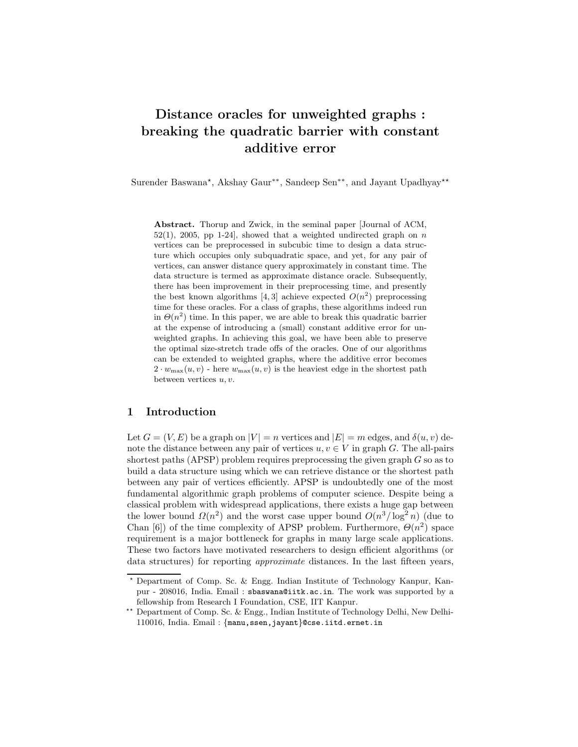# Distance oracles for unweighted graphs : breaking the quadratic barrier with constant additive error

Surender Baswana<sup>★</sup>, Akshay Gaur<sup>∗</sup>\*, Sandeep Sen<sup>∗</sup>\*, and Jayant Upadhyay<sup>★★</sup>

Abstract. Thorup and Zwick, in the seminal paper [Journal of ACM,  $52(1)$ ,  $2005$ , pp 1-24, showed that a weighted undirected graph on n vertices can be preprocessed in subcubic time to design a data structure which occupies only subquadratic space, and yet, for any pair of vertices, can answer distance query approximately in constant time. The data structure is termed as approximate distance oracle. Subsequently, there has been improvement in their preprocessing time, and presently the best known algorithms [4, 3] achieve expected  $O(n^2)$  preprocessing time for these oracles. For a class of graphs, these algorithms indeed run in  $\Theta(n^2)$  time. In this paper, we are able to break this quadratic barrier at the expense of introducing a (small) constant additive error for unweighted graphs. In achieving this goal, we have been able to preserve the optimal size-stretch trade offs of the oracles. One of our algorithms can be extended to weighted graphs, where the additive error becomes  $2 \cdot w_{\text{max}}(u, v)$  - here  $w_{\text{max}}(u, v)$  is the heaviest edge in the shortest path between vertices  $u, v$ .

### 1 Introduction

Let  $G = (V, E)$  be a graph on  $|V| = n$  vertices and  $|E| = m$  edges, and  $\delta(u, v)$  denote the distance between any pair of vertices  $u, v \in V$  in graph G. The all-pairs shortest paths (APSP) problem requires preprocessing the given graph  $G$  so as to build a data structure using which we can retrieve distance or the shortest path between any pair of vertices efficiently. APSP is undoubtedly one of the most fundamental algorithmic graph problems of computer science. Despite being a classical problem with widespread applications, there exists a huge gap between the lower bound  $\Omega(n^2)$  and the worst case upper bound  $O(n^3/\log^2 n)$  (due to Chan [6]) of the time complexity of APSP problem. Furthermore,  $\Theta(n^2)$  space requirement is a major bottleneck for graphs in many large scale applications. These two factors have motivated researchers to design efficient algorithms (or data structures) for reporting approximate distances. In the last fifteen years,

<sup>⋆</sup> Department of Comp. Sc. & Engg. Indian Institute of Technology Kanpur, Kanpur - 208016, India. Email : sbaswana@iitk.ac.in. The work was supported by a fellowship from Research I Foundation, CSE, IIT Kanpur.

<sup>⋆⋆</sup> Department of Comp. Sc. & Engg., Indian Institute of Technology Delhi, New Delhi-110016, India. Email : {manu,ssen,jayant}@cse.iitd.ernet.in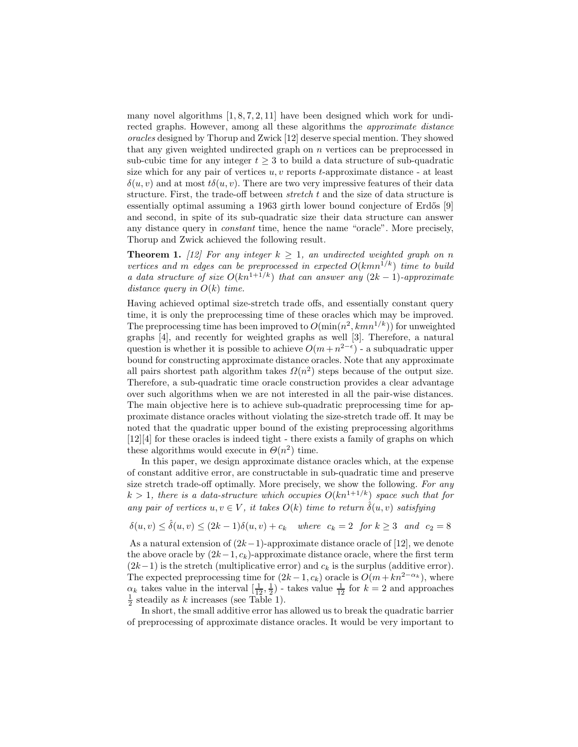many novel algorithms  $[1, 8, 7, 2, 11]$  have been designed which work for undirected graphs. However, among all these algorithms the approximate distance oracles designed by Thorup and Zwick [12] deserve special mention. They showed that any given weighted undirected graph on  $n$  vertices can be preprocessed in sub-cubic time for any integer  $t \geq 3$  to build a data structure of sub-quadratic size which for any pair of vertices  $u, v$  reports  $t$ -approximate distance - at least  $\delta(u, v)$  and at most  $t\delta(u, v)$ . There are two very impressive features of their data structure. First, the trade-off between stretch t and the size of data structure is essentially optimal assuming a 1963 girth lower bound conjecture of Erdős [9] and second, in spite of its sub-quadratic size their data structure can answer any distance query in constant time, hence the name "oracle". More precisely, Thorup and Zwick achieved the following result.

**Theorem 1.** [12] For any integer  $k \geq 1$ , an undirected weighted graph on n vertices and m edges can be preprocessed in expected  $O(kmn^{1/k})$  time to build a data structure of size  $O(kn^{1+1/k})$  that can answer any  $(2k-1)$ -approximate distance query in  $O(k)$  time.

Having achieved optimal size-stretch trade offs, and essentially constant query time, it is only the preprocessing time of these oracles which may be improved. The preprocessing time has been improved to  $O(\min(n^2, kmn^{1/k}))$  for unweighted graphs [4], and recently for weighted graphs as well [3]. Therefore, a natural question is whether it is possible to achieve  $O(m+n^{2-\epsilon})$  - a subquadratic upper bound for constructing approximate distance oracles. Note that any approximate all pairs shortest path algorithm takes  $\Omega(n^2)$  steps because of the output size. Therefore, a sub-quadratic time oracle construction provides a clear advantage over such algorithms when we are not interested in all the pair-wise distances. The main objective here is to achieve sub-quadratic preprocessing time for approximate distance oracles without violating the size-stretch trade off. It may be noted that the quadratic upper bound of the existing preprocessing algorithms [12][4] for these oracles is indeed tight - there exists a family of graphs on which these algorithms would execute in  $\Theta(n^2)$  time.

In this paper, we design approximate distance oracles which, at the expense of constant additive error, are constructable in sub-quadratic time and preserve size stretch trade-off optimally. More precisely, we show the following. For any  $k > 1$ , there is a data-structure which occupies  $O(kn^{1+1/k})$  space such that for any pair of vertices  $u, v \in V$ , it takes  $O(k)$  time to return  $\hat{\delta}(u, v)$  satisfying

$$
\delta(u,v) \leq \hat{\delta}(u,v) \leq (2k-1)\delta(u,v) + c_k \quad \text{where} \quad c_k = 2 \quad \text{for } k \geq 3 \quad \text{and} \quad c_2 = 8
$$

As a natural extension of  $(2k-1)$ -approximate distance oracle of [12], we denote the above oracle by  $(2k-1, c_k)$ -approximate distance oracle, where the first term  $(2k-1)$  is the stretch (multiplicative error) and  $c_k$  is the surplus (additive error). The expected preprocessing time for  $(2k-1, c_k)$  oracle is  $O(m+kn^{2-\alpha_k})$ , where  $\alpha_k$  takes value in the interval  $\left(\frac{1}{12}, \frac{1}{2}\right)$  - takes value  $\frac{1}{12}$  for  $k = 2$  and approaches  $\frac{1}{2}$  steadily as k increases (see Table 1).

In short, the small additive error has allowed us to break the quadratic barrier of preprocessing of approximate distance oracles. It would be very important to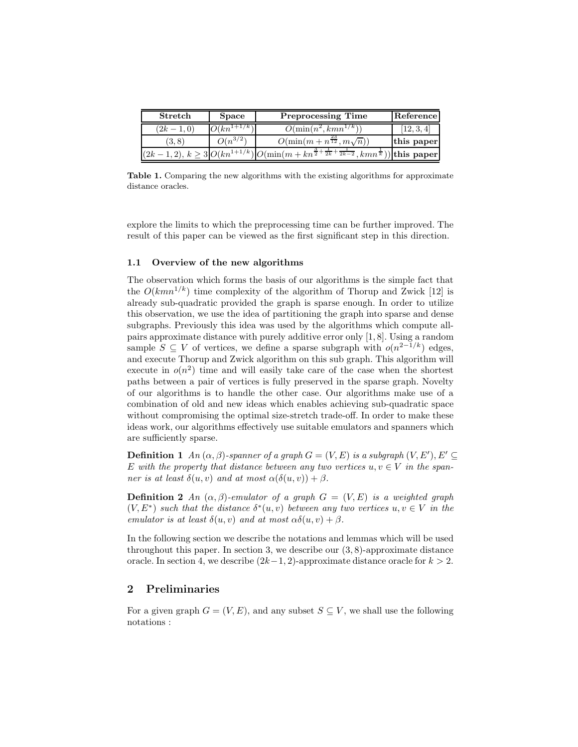| Stretch       | <b>Space</b>    | <b>Preprocessing Time</b>                                                                                             | Reference  |
|---------------|-----------------|-----------------------------------------------------------------------------------------------------------------------|------------|
| $(2k - 1, 0)$ | $O(kn^{1+1/k})$ | $O(\min(n^2, kmn^{1/k}))$                                                                                             | (12, 3, 4) |
| (3.8)         | $O(n^{3/2})$    | $O(\min(m + n^{\frac{23}{12}}, m\sqrt{n}))$                                                                           | this paper |
| (2k)          |                 | $(1,2), k \geq 3 O(kn^{1+1/k}) O(\min(m+kn^{\frac{3}{2}+\frac{1}{2k}+\frac{1}{2k-2}},kmn^{\frac{1}{k}})) $ this paper |            |

Table 1. Comparing the new algorithms with the existing algorithms for approximate distance oracles.

explore the limits to which the preprocessing time can be further improved. The result of this paper can be viewed as the first significant step in this direction.

#### 1.1 Overview of the new algorithms

The observation which forms the basis of our algorithms is the simple fact that the  $O(kmn^{1/k})$  time complexity of the algorithm of Thorup and Zwick [12] is already sub-quadratic provided the graph is sparse enough. In order to utilize this observation, we use the idea of partitioning the graph into sparse and dense subgraphs. Previously this idea was used by the algorithms which compute allpairs approximate distance with purely additive error only [1, 8]. Using a random sample  $S \subseteq V$  of vertices, we define a sparse subgraph with  $o(n^{2-1/k})$  edges, and execute Thorup and Zwick algorithm on this sub graph. This algorithm will execute in  $o(n^2)$  time and will easily take care of the case when the shortest paths between a pair of vertices is fully preserved in the sparse graph. Novelty of our algorithms is to handle the other case. Our algorithms make use of a combination of old and new ideas which enables achieving sub-quadratic space without compromising the optimal size-stretch trade-off. In order to make these ideas work, our algorithms effectively use suitable emulators and spanners which are sufficiently sparse.

**Definition 1** An  $(\alpha, \beta)$ -spanner of a graph  $G = (V, E)$  is a subgraph  $(V, E'), E' \subseteq$ E with the property that distance between any two vertices  $u, v \in V$  in the spanner is at least  $\delta(u, v)$  and at most  $\alpha(\delta(u, v)) + \beta$ .

**Definition 2** An  $(\alpha, \beta)$ -emulator of a graph  $G = (V, E)$  is a weighted graph  $(V, E^*)$  such that the distance  $\delta^*(u, v)$  between any two vertices  $u, v \in V$  in the emulator is at least  $\delta(u, v)$  and at most  $\alpha\delta(u, v) + \beta$ .

In the following section we describe the notations and lemmas which will be used throughout this paper. In section 3, we describe our  $(3, 8)$ -approximate distance oracle. In section 4, we describe  $(2k-1, 2)$ -approximate distance oracle for  $k > 2$ .

# 2 Preliminaries

For a given graph  $G = (V, E)$ , and any subset  $S \subseteq V$ , we shall use the following notations :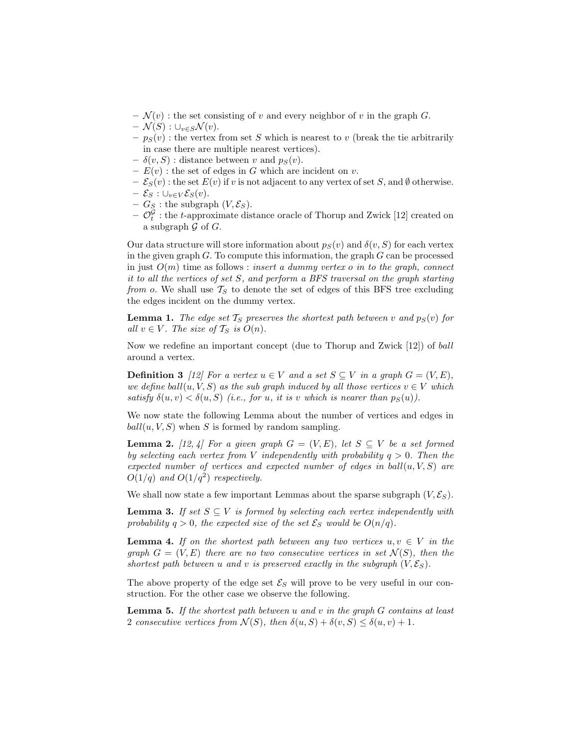- $-\mathcal{N}(v)$ : the set consisting of v and every neighbor of v in the graph G.
- $\mathcal{N}(S) : \cup_{v \in S} \mathcal{N}(v).$
- $p_S(v)$ : the vertex from set S which is nearest to v (break the tie arbitrarily in case there are multiple nearest vertices).
- $\delta(v, S)$ : distance between v and  $p_S(v)$ .
- $E(v)$ : the set of edges in G which are incident on v.
- $-\mathcal{E}_S(v)$ : the set  $E(v)$  if v is not adjacent to any vertex of set S, and Ø otherwise.
- $-\mathcal{E}_S: \cup_{v \in V} \mathcal{E}_S(v).$
- $-G<sub>S</sub>$ : the subgraph  $(V, \mathcal{E}<sub>S</sub>)$ .
- $-\mathcal{O}_t^{\mathcal{G}}$ : the t-approximate distance oracle of Thorup and Zwick [12] created on a subgraph  $\mathcal G$  of  $G$ .

Our data structure will store information about  $p_S(v)$  and  $\delta(v, S)$  for each vertex in the given graph  $G$ . To compute this information, the graph  $G$  can be processed in just  $O(m)$  time as follows : *insert a dummy vertex o in to the graph, connect* it to all the vertices of set S, and perform a BFS traversal on the graph starting from o. We shall use  $T<sub>S</sub>$  to denote the set of edges of this BFS tree excluding the edges incident on the dummy vertex.

**Lemma 1.** The edge set  $\mathcal{T}_S$  preserves the shortest path between v and  $p_S(v)$  for all  $v \in V$ . The size of  $\mathcal{T}_S$  is  $O(n)$ .

Now we redefine an important concept (due to Thorup and Zwick [12]) of ball around a vertex.

**Definition 3** [12] For a vertex  $u \in V$  and a set  $S \subseteq V$  in a graph  $G = (V, E)$ , we define ball $(u, V, S)$  as the sub-graph induced by all those vertices  $v \in V$  which satisfy  $\delta(u, v) < \delta(u, S)$  (i.e., for u, it is v which is nearer than  $p_S(u)$ ).

We now state the following Lemma about the number of vertices and edges in  $ball(u, V, S)$  when S is formed by random sampling.

**Lemma 2.** [12, 4] For a given graph  $G = (V, E)$ , let  $S \subseteq V$  be a set formed by selecting each vertex from V independently with probability  $q > 0$ . Then the expected number of vertices and expected number of edges in  $ball(u, V, S)$  are  $O(1/q)$  and  $O(1/q^2)$  respectively.

We shall now state a few important Lemmas about the sparse subgraph  $(V, \mathcal{E}_S)$ .

**Lemma 3.** If set  $S \subseteq V$  is formed by selecting each vertex independently with probability  $q > 0$ , the expected size of the set  $\mathcal{E}_S$  would be  $O(n/q)$ .

**Lemma 4.** If on the shortest path between any two vertices  $u, v \in V$  in the graph  $G = (V, E)$  there are no two consecutive vertices in set  $\mathcal{N}(S)$ , then the shortest path between u and v is preserved exactly in the subgraph  $(V, \mathcal{E}_S)$ .

The above property of the edge set  $\mathcal{E}_S$  will prove to be very useful in our construction. For the other case we observe the following.

**Lemma 5.** If the shortest path between  $u$  and  $v$  in the graph  $G$  contains at least 2 consecutive vertices from  $\mathcal{N}(S)$ , then  $\delta(u, S) + \delta(v, S) \leq \delta(u, v) + 1$ .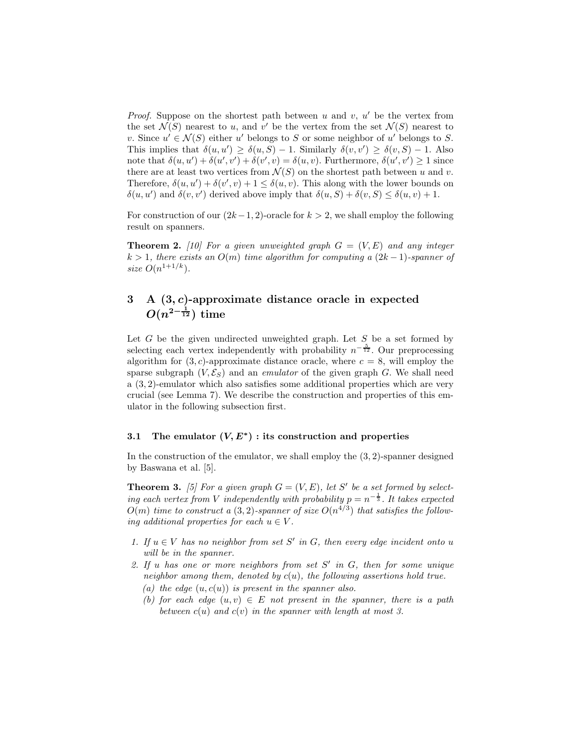*Proof.* Suppose on the shortest path between  $u$  and  $v$ ,  $u'$  be the vertex from the set  $\mathcal{N}(S)$  nearest to u, and v' be the vertex from the set  $\mathcal{N}(S)$  nearest to v. Since  $u' \in \mathcal{N}(S)$  either u' belongs to S or some neighbor of u' belongs to S. This implies that  $\delta(u, u') \geq \delta(u, S) - 1$ . Similarly  $\delta(v, v') \geq \delta(v, S) - 1$ . Also note that  $\delta(u, u') + \delta(u', v') + \delta(v', v) = \delta(u, v)$ . Furthermore,  $\delta(u', v') \ge 1$  since there are at least two vertices from  $\mathcal{N}(S)$  on the shortest path between u and v. Therefore,  $\delta(u, u') + \delta(v', v) + 1 \leq \delta(u, v)$ . This along with the lower bounds on  $\delta(u, u')$  and  $\delta(v, v')$  derived above imply that  $\delta(u, S) + \delta(v, S) \leq \delta(u, v) + 1$ .

For construction of our  $(2k-1, 2)$ -oracle for  $k > 2$ , we shall employ the following result on spanners.

**Theorem 2.** [10] For a given unweighted graph  $G = (V, E)$  and any integer  $k > 1$ , there exists an  $O(m)$  time algorithm for computing a  $(2k-1)$ -spanner of size  $O(n^{1+1/k})$ .

# 3 A (3, c)-approximate distance oracle in expected  $O(n^{2-\frac{1}{12}})$  time

Let  $G$  be the given undirected unweighted graph. Let  $S$  be a set formed by selecting each vertex independently with probability  $n^{-\frac{5}{12}}$ . Our preprocessing algorithm for  $(3, c)$ -approximate distance oracle, where  $c = 8$ , will employ the sparse subgraph  $(V, \mathcal{E}_S)$  and an *emulator* of the given graph G. We shall need a (3, 2)-emulator which also satisfies some additional properties which are very crucial (see Lemma 7). We describe the construction and properties of this emulator in the following subsection first.

# 3.1 The emulator  $(V, E^*)$ : its construction and properties

In the construction of the emulator, we shall employ the  $(3, 2)$ -spanner designed by Baswana et al. [5].

**Theorem 3.** [5] For a given graph  $G = (V, E)$ , let S' be a set formed by selecting each vertex from V independently with probability  $p = n^{-\frac{1}{3}}$ . It takes expected  $O(m)$  time to construct a  $(3,2)$ -spanner of size  $O(n^{4/3})$  that satisfies the following additional properties for each  $u \in V$ .

- 1. If  $u \in V$  has no neighbor from set S' in G, then every edge incident onto u will be in the spanner.
- 2. If  $u$  has one or more neighbors from set  $S'$  in  $G$ , then for some unique neighbor among them, denoted by  $c(u)$ , the following assertions hold true. (a) the edge  $(u, c(u))$  is present in the spanner also.
	- (b) for each edge  $(u, v) \in E$  not present in the spanner, there is a path between  $c(u)$  and  $c(v)$  in the spanner with length at most 3.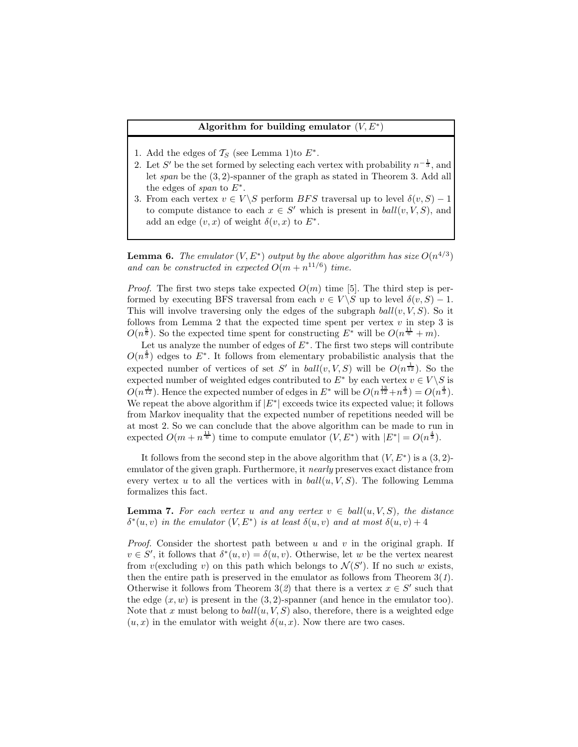## Algorithm for building emulator  $(V, E^*)$

- 1. Add the edges of  $\mathcal{T}_S$  (see Lemma 1)to  $E^*$ .
- 2. Let S' be the set formed by selecting each vertex with probability  $n^{-\frac{1}{3}}$ , and let span be the (3, 2)-spanner of the graph as stated in Theorem 3. Add all the edges of span to  $E^*$ .
- 3. From each vertex  $v \in V \backslash S$  perform BFS traversal up to level  $\delta(v, S) 1$ to compute distance to each  $x \in S'$  which is present in  $ball(v, V, S)$ , and add an edge  $(v, x)$  of weight  $\delta(v, x)$  to  $E^*$ .

**Lemma 6.** The emulator  $(V, E^*)$  output by the above algorithm has size  $O(n^{4/3})$ and can be constructed in expected  $O(m + n^{11/6})$  time.

*Proof.* The first two steps take expected  $O(m)$  time [5]. The third step is performed by executing BFS traversal from each  $v \in V \backslash S$  up to level  $\delta(v, S) - 1$ . This will involve traversing only the edges of the subgraph  $ball(v, V, S)$ . So it follows from Lemma 2 that the expected time spent per vertex  $v$  in step 3 is  $O(n^{\frac{5}{6}})$ . So the expected time spent for constructing  $E^*$  will be  $O(n^{\frac{11}{6}} + m)$ .

Let us analyze the number of edges of  $E^*$ . The first two steps will contribute  $O(n^{\frac{4}{3}})$  edges to  $E^*$ . It follows from elementary probabilistic analysis that the expected number of vertices of set S' in  $ball(v, V, S)$  will be  $O(n^{\frac{1}{12}})$ . So the expected number of weighted edges contributed to  $E^*$  by each vertex  $v \in V \backslash S$  is  $O(n^{\frac{1}{12}})$ . Hence the expected number of edges in  $E^*$  will be  $O(n^{\frac{13}{12}}+n^{\frac{4}{3}})=O(n^{\frac{4}{3}})$ . We repeat the above algorithm if  $|E^*|$  exceeds twice its expected value; it follows from Markov inequality that the expected number of repetitions needed will be at most 2. So we can conclude that the above algorithm can be made to run in expected  $O(m + n^{\frac{11}{6}})$  time to compute emulator  $(V, E^*)$  with  $|E^*| = O(n^{\frac{4}{3}})$ .

It follows from the second step in the above algorithm that  $(V, E^*)$  is a  $(3, 2)$ emulator of the given graph. Furthermore, it nearly preserves exact distance from every vertex u to all the vertices with in  $ball(u, V, S)$ . The following Lemma formalizes this fact.

**Lemma 7.** For each vertex u and any vertex  $v \in \text{ball}(u, V, S)$ , the distance  $\delta^*(u, v)$  in the emulator  $(V, E^*)$  is at least  $\delta(u, v)$  and at most  $\delta(u, v) + 4$ 

*Proof.* Consider the shortest path between u and v in the original graph. If  $v \in S'$ , it follows that  $\delta^*(u, v) = \delta(u, v)$ . Otherwise, let w be the vertex nearest from  $v$ (excluding v) on this path which belongs to  $\mathcal{N}(S')$ . If no such w exists, then the entire path is preserved in the emulator as follows from Theorem  $3(1)$ . Otherwise it follows from Theorem 3(2) that there is a vertex  $x \in S'$  such that the edge  $(x, w)$  is present in the  $(3, 2)$ -spanner (and hence in the emulator too). Note that x must belong to  $ball(u, V, S)$  also, therefore, there is a weighted edge  $(u, x)$  in the emulator with weight  $\delta(u, x)$ . Now there are two cases.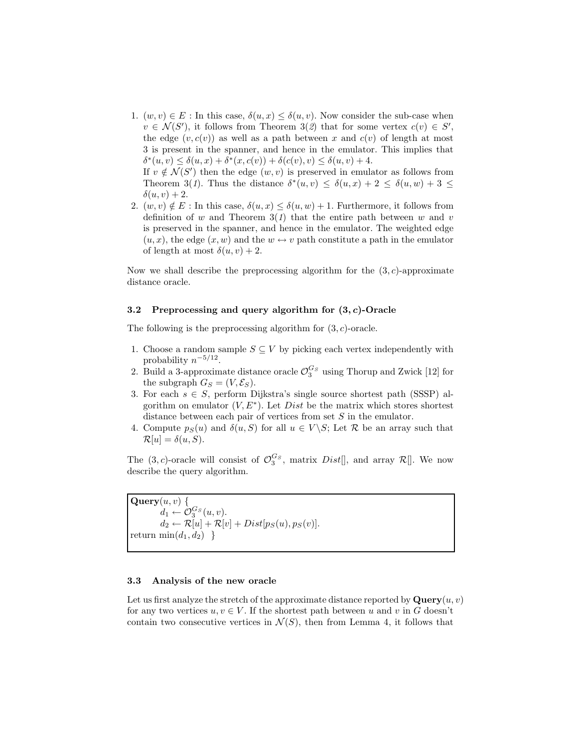- 1.  $(w, v) \in E$ : In this case,  $\delta(u, x) \leq \delta(u, v)$ . Now consider the sub-case when  $v \in \mathcal{N}(S')$ , it follows from Theorem 3(2) that for some vertex  $c(v) \in S'$ , the edge  $(v, c(v))$  as well as a path between x and  $c(v)$  of length at most 3 is present in the spanner, and hence in the emulator. This implies that  $\delta^*(u, v) \leq \delta(u, x) + \delta^*(x, c(v)) + \delta(c(v), v) \leq \delta(u, v) + 4.$ If  $v \notin \mathcal{N}(S')$  then the edge  $(w, v)$  is preserved in emulator as follows from Theorem 3(1). Thus the distance  $\delta^*(u, v) \leq \delta(u, x) + 2 \leq \delta(u, w) + 3 \leq$  $\delta(u, v) + 2.$
- 2.  $(w, v) \notin E$ : In this case,  $\delta(u, x) \leq \delta(u, w) + 1$ . Furthermore, it follows from definition of w and Theorem  $3(1)$  that the entire path between w and v is preserved in the spanner, and hence in the emulator. The weighted edge  $(u, x)$ , the edge  $(x, w)$  and the  $w \leftrightarrow v$  path constitute a path in the emulator of length at most  $\delta(u, v) + 2$ .

Now we shall describe the preprocessing algorithm for the  $(3, c)$ -approximate distance oracle.

#### 3.2 Preprocessing and query algorithm for  $(3, c)$ -Oracle

The following is the preprocessing algorithm for  $(3, c)$ -oracle.

- 1. Choose a random sample  $S \subseteq V$  by picking each vertex independently with probability  $n^{-5/12}$ .
- 2. Build a 3-approximate distance oracle  $\mathcal{O}_3^{G_S}$  using Thorup and Zwick [12] for the subgraph  $G_S = (V, \mathcal{E}_S)$ .
- 3. For each  $s \in S$ , perform Dijkstra's single source shortest path (SSSP) algorithm on emulator  $(V, E^*)$ . Let *Dist* be the matrix which stores shortest distance between each pair of vertices from set S in the emulator.
- 4. Compute  $p_S(u)$  and  $\delta(u, S)$  for all  $u \in V \backslash S$ ; Let R be an array such that  $\mathcal{R}[u] = \delta(u, S).$

The  $(3, c)$ -oracle will consist of  $\mathcal{O}_3^{G_s}$ , matrix Dist[], and array  $\mathcal{R}[]$ . We now describe the query algorithm.

 $\mathbf{Query}(u, v)$  {  $d_1 \leftarrow \mathcal{O}_3^{G_S}(u,v).$  $d_2 \leftarrow \mathcal{R}[u] + \mathcal{R}[v] + Dist[p_S(u), p_S(v)].$ return  $\min(d_1, d_2)$ }

#### 3.3 Analysis of the new oracle

Let us first analyze the stretch of the approximate distance reported by  $\mathbf{Query}(u, v)$ for any two vertices  $u, v \in V$ . If the shortest path between u and v in G doesn't contain two consecutive vertices in  $\mathcal{N}(S)$ , then from Lemma 4, it follows that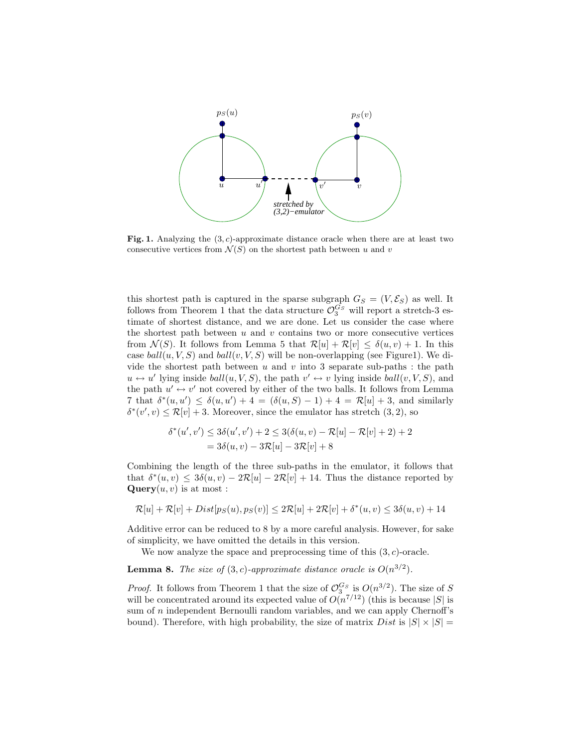

Fig. 1. Analyzing the  $(3, c)$ -approximate distance oracle when there are at least two consecutive vertices from  $\mathcal{N}(S)$  on the shortest path between u and v

this shortest path is captured in the sparse subgraph  $G_S = (V, \mathcal{E}_S)$  as well. It follows from Theorem 1 that the data structure  $\mathcal{O}_3^{G_S}$  will report a stretch-3 estimate of shortest distance, and we are done. Let us consider the case where the shortest path between  $u$  and  $v$  contains two or more consecutive vertices from  $\mathcal{N}(S)$ . It follows from Lemma 5 that  $\mathcal{R}[u] + \mathcal{R}[v] \leq \delta(u, v) + 1$ . In this case  $ball(u, V, S)$  and  $ball(v, V, S)$  will be non-overlapping (see Figure1). We divide the shortest path between  $u$  and  $v$  into 3 separate sub-paths : the path  $u \leftrightarrow u'$  lying inside  $ball(u, V, S)$ , the path  $v' \leftrightarrow v$  lying inside  $ball(v, V, S)$ , and the path  $u' \leftrightarrow v'$  not covered by either of the two balls. It follows from Lemma 7 that  $\delta^*(u, u') \leq \delta(u, u') + 4 = (\delta(u, S) - 1) + 4 = \mathcal{R}[u] + 3$ , and similarly  $\delta^*(v', v) \leq \mathcal{R}[v] + 3$ . Moreover, since the emulator has stretch  $(3, 2)$ , so

$$
\delta^*(u', v') \le 3\delta(u', v') + 2 \le 3(\delta(u, v) - \mathcal{R}[u] - \mathcal{R}[v] + 2) + 2
$$
  
= 3\delta(u, v) - 3\mathcal{R}[u] - 3\mathcal{R}[v] + 8

Combining the length of the three sub-paths in the emulator, it follows that that  $\delta^*(u, v) \leq 3\delta(u, v) - 2\mathcal{R}[u] - 2\mathcal{R}[v] + 14$ . Thus the distance reported by  $\mathbf{Query}(u, v)$  is at most :

$$
\mathcal{R}[u] + \mathcal{R}[v] + Dist[p_S(u), p_S(v)] \le 2\mathcal{R}[u] + 2\mathcal{R}[v] + \delta^*(u, v) \le 3\delta(u, v) + 14
$$

Additive error can be reduced to 8 by a more careful analysis. However, for sake of simplicity, we have omitted the details in this version.

We now analyze the space and preprocessing time of this  $(3, c)$ -oracle.

**Lemma 8.** The size of  $(3, c)$ -approximate distance oracle is  $O(n^{3/2})$ .

*Proof.* It follows from Theorem 1 that the size of  $\mathcal{O}_3^{G_S}$  is  $O(n^{3/2})$ . The size of S will be concentrated around its expected value of  $O(n^{7/12})$  (this is because |S| is sum of *n* independent Bernoulli random variables, and we can apply Chernoff's bound). Therefore, with high probability, the size of matrix  $Dist$  is  $|S| \times |S|$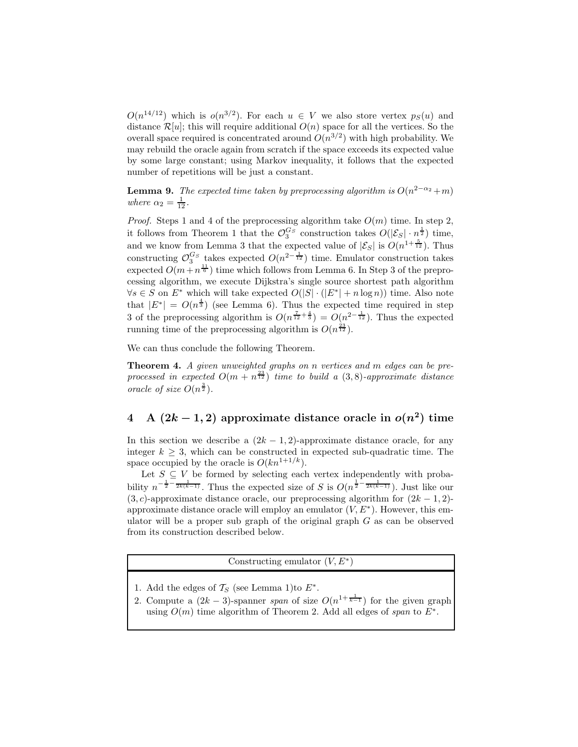$O(n^{14/12})$  which is  $o(n^{3/2})$ . For each  $u \in V$  we also store vertex  $p_S(u)$  and distance  $\mathcal{R}[u]$ ; this will require additional  $O(n)$  space for all the vertices. So the overall space required is concentrated around  $O(n^{3/2})$  with high probability. We may rebuild the oracle again from scratch if the space exceeds its expected value by some large constant; using Markov inequality, it follows that the expected number of repetitions will be just a constant.

**Lemma 9.** The expected time taken by preprocessing algorithm is  $O(n^{2-\alpha_2}+m)$ where  $\alpha_2 = \frac{1}{12}$ .

*Proof.* Steps 1 and 4 of the preprocessing algorithm take  $O(m)$  time. In step 2, it follows from Theorem 1 that the  $\mathcal{O}_3^{G_S}$  construction takes  $O(|\mathcal{E}_S| \cdot n^{\frac{1}{2}})$  time, and we know from Lemma 3 that the expected value of  $|\mathcal{E}_S|$  is  $O(n^{1+\frac{5}{12}})$ . Thus constructing  $\mathcal{O}_3^{G_S}$  takes expected  $O(n^{2-\frac{1}{12}})$  time. Emulator construction takes expected  $O(m + n^{\frac{11}{6}})$  time which follows from Lemma 6. In Step 3 of the preprocessing algorithm, we execute Dijkstra's single source shortest path algorithm  $\forall s \in S$  on  $E^*$  which will take expected  $O(|S| \cdot (|E^*| + n \log n))$  time. Also note that  $|E^*| = O(n^{\frac{4}{3}})$  (see Lemma 6). Thus the expected time required in step 3 of the preprocessing algorithm is  $O(n^{\frac{7}{12} + \frac{4}{3}}) = O(n^{2 - \frac{1}{12}})$ . Thus the expected running time of the preprocessing algorithm is  $O(n^{\frac{23}{12}})$ .

We can thus conclude the following Theorem.

**Theorem 4.** A given unweighted graphs on n vertices and m edges can be preprocessed in expected  $O(m + n^{\frac{23}{12}})$  time to build a  $(3, 8)$ -approximate distance oracle of size  $O(n^{\frac{3}{2}})$ .

# 4 A  $(2k-1, 2)$  approximate distance oracle in  $o(n^2)$  time

In this section we describe a  $(2k - 1, 2)$ -approximate distance oracle, for any integer  $k \geq 3$ , which can be constructed in expected sub-quadratic time. The space occupied by the oracle is  $O(kn^{1+1/k})$ .

Let  $S \subseteq V$  be formed by selecting each vertex independently with probability  $n^{-\frac{1}{2}-\frac{1}{2k(k-1)}}$ . Thus the expected size of S is  $O(n^{\frac{1}{2}-\frac{1}{2k(k-1)}})$ . Just like our  $(3, c)$ -approximate distance oracle, our preprocessing algorithm for  $(2k - 1, 2)$ approximate distance oracle will employ an emulator  $(V, E^*)$ . However, this emulator will be a proper sub graph of the original graph  $G$  as can be observed from its construction described below.

Constructing emulator  $(V, E^*)$ 

- 1. Add the edges of  $\mathcal{T}_S$  (see Lemma 1)to  $E^*$ .
- 2. Compute a  $(2k-3)$ -spanner span of size  $O(n^{1+\frac{1}{k-1}})$  for the given graph using  $O(m)$  time algorithm of Theorem 2. Add all edges of span to  $E^*$ .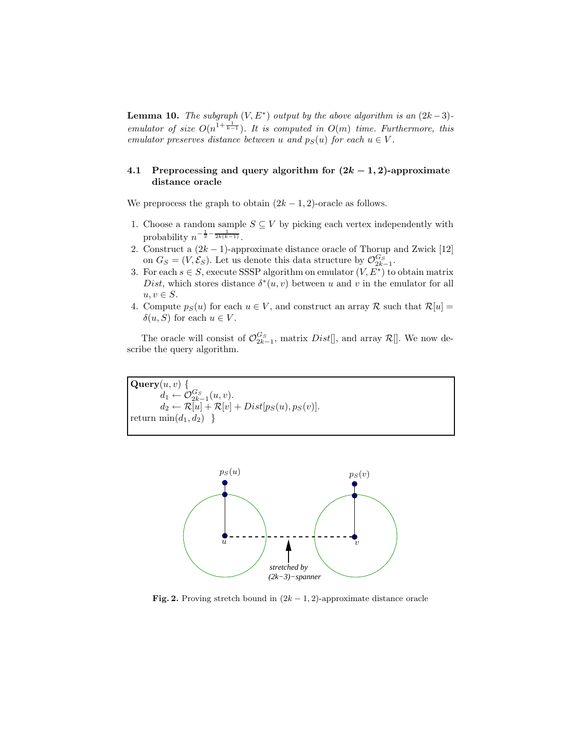**Lemma 10.** The subgraph  $(V, E^*)$  output by the above algorithm is an  $(2k-3)$ emulator of size  $O(n^{1+\frac{1}{k-1}})$ . It is computed in  $O(m)$  time. Furthermore, this emulator preserves distance between u and  $p_S(u)$  for each  $u \in V$ .

# 4.1 Preprocessing and query algorithm for  $(2k-1, 2)$ -approximate distance oracle

We preprocess the graph to obtain  $(2k-1, 2)$ -oracle as follows.

- 1. Choose a random sample  $S \subseteq V$  by picking each vertex independently with probability  $n^{-\frac{1}{2} - \frac{1}{2k(k-1)}}$ .
- 2. Construct a  $(2k-1)$ -approximate distance oracle of Thorup and Zwick [12] on  $G_S = (V, \mathcal{E}_S)$ . Let us denote this data structure by  $\mathcal{O}_{2k-1}^{G_S}$ .
- 3. For each  $s \in S$ , execute SSSP algorithm on emulator  $(V, E^*)$  to obtain matrix Dist, which stores distance  $\delta^*(u, v)$  between u and v in the emulator for all  $u, v \in S$ .
- 4. Compute  $p_S(u)$  for each  $u \in V$ , and construct an array R such that  $\mathcal{R}[u] =$  $\delta(u, S)$  for each  $u \in V$ .

The oracle will consist of  $\mathcal{O}_{2k-1}^{G_S}$ , matrix  $Dist[]$ , and array  $\mathcal{R}[]$ . We now describe the query algorithm.

 $\mathbf{Query}(u, v)$  {  $d_1 \leftarrow \mathcal{O}_{2k-1}^{G_S}(u,v).$  $d_2 \leftarrow \mathcal{R}[u] + \mathcal{R}[v] + Dist[p_S(u), p_S(v)].$ return  $\min(d_1, d_2)$ }



Fig. 2. Proving stretch bound in  $(2k-1, 2)$ -approximate distance oracle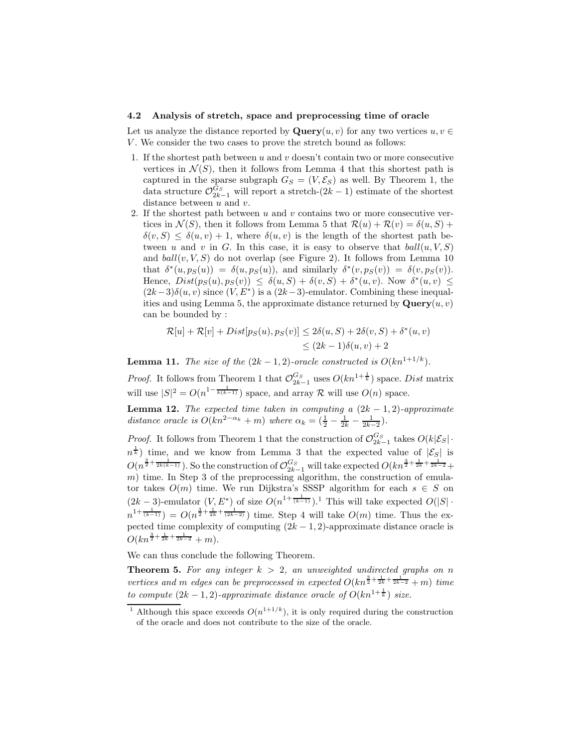#### 4.2 Analysis of stretch, space and preprocessing time of oracle

Let us analyze the distance reported by  $\mathbf{Query}(u, v)$  for any two vertices  $u, v \in$  $V$ . We consider the two cases to prove the stretch bound as follows:

- 1. If the shortest path between  $u$  and  $v$  doesn't contain two or more consecutive vertices in  $\mathcal{N}(S)$ , then it follows from Lemma 4 that this shortest path is captured in the sparse subgraph  $G_S = (V, \mathcal{E}_S)$  as well. By Theorem 1, the data structure  $\mathcal{O}_{2k-1}^{G_S}$  will report a stretch- $(2k-1)$  estimate of the shortest distance between  $u$  and  $v$ .
- 2. If the shortest path between u and v contains two or more consecutive vertices in  $\mathcal{N}(S)$ , then it follows from Lemma 5 that  $\mathcal{R}(u) + \mathcal{R}(v) = \delta(u, S) +$  $\delta(v, S) \leq \delta(u, v) + 1$ , where  $\delta(u, v)$  is the length of the shortest path between u and v in G. In this case, it is easy to observe that  $ball(u, V, S)$ and  $ball(v, V, S)$  do not overlap (see Figure 2). It follows from Lemma 10 that  $\delta^*(u, p_S(u)) = \delta(u, p_S(u))$ , and similarly  $\delta^*(v, p_S(v)) = \delta(v, p_S(v))$ . Hence,  $Dist(p_S(u), p_S(v)) \leq \delta(u, S) + \delta(v, S) + \delta^*(u, v)$ . Now  $\delta^*(u, v) \leq$  $(2k-3)\delta(u, v)$  since  $(V, E^*)$  is a  $(2k-3)$ -emulator. Combining these inequalities and using Lemma 5, the approximate distance returned by  $\mathbf{Query}(u, v)$ can be bounded by :

$$
\mathcal{R}[u] + \mathcal{R}[v] + Dist[p_S(u), p_S(v)] \le 2\delta(u, S) + 2\delta(v, S) + \delta^*(u, v)
$$
  

$$
\le (2k - 1)\delta(u, v) + 2
$$

**Lemma 11.** The size of the  $(2k - 1, 2)$ -oracle constructed is  $O(kn^{1+1/k})$ .

*Proof.* It follows from Theorem 1 that  $\mathcal{O}_{2k-1}^{G_S}$  uses  $O(kn^{1+\frac{1}{k}})$  space. Dist matrix will use  $|S|^2 = O(n^{1-\frac{1}{k(k-1)}})$  space, and array R will use  $O(n)$  space.

**Lemma 12.** The expected time taken in computing a  $(2k - 1, 2)$ -approximate distance oracle is  $O(kn^{2-\alpha_k} + m)$  where  $\alpha_k = \left(\frac{1}{2} - \frac{1}{2k} - \frac{1}{2k-2}\right)$ .

*Proof.* It follows from Theorem 1 that the construction of  $\mathcal{O}_{2k-1}^{G_S}$  takes  $O(k|\mathcal{E}_S| \cdot$  $n^{\frac{1}{k}}$ ) time, and we know from Lemma 3 that the expected value of  $|\mathcal{E}_S|$  is  $O(n^{\frac{3}{2}+\frac{1}{2k(k-1)}})$ . So the construction of  $\mathcal{O}_{2k-1}^{G_S}$  will take expected  $O(kn^{\frac{3}{2}+\frac{1}{2k}+\frac{1}{2k-2}}+$  $m$ ) time. In Step 3 of the preprocessing algorithm, the construction of emulator takes  $O(m)$  time. We run Dijkstra's SSSP algorithm for each  $s \in S$  on  $(2k-3)$ -emulator  $(V, E^*)$  of size  $O(n^{1+\frac{1}{(k-1)}})$ .<sup>1</sup> This will take expected  $O(|S| \cdot$  $n^{1+\frac{1}{(k-1)}} = O(n^{\frac{3}{2}+\frac{1}{2k}+\frac{1}{(2k-2)}})$  time. Step 4 will take  $O(m)$  time. Thus the expected time complexity of computing  $(2k - 1, 2)$ -approximate distance oracle is  $O(kn^{\frac{3}{2}+\frac{1}{2k}+\frac{1}{2k-2}}+m).$ 

We can thus conclude the following Theorem.

**Theorem 5.** For any integer  $k > 2$ , an unweighted undirected graphs on n vertices and m edges can be preprocessed in expected  $O(kn^{\frac{3}{2} + \frac{1}{2k} + \frac{1}{2k-2}} + m)$  time to compute  $(2k-1, 2)$ -approximate distance oracle of  $O(kn^{1+\frac{1}{k}})$  size.

<sup>&</sup>lt;sup>1</sup> Although this space exceeds  $O(n^{1+1/k})$ , it is only required during the construction of the oracle and does not contribute to the size of the oracle.